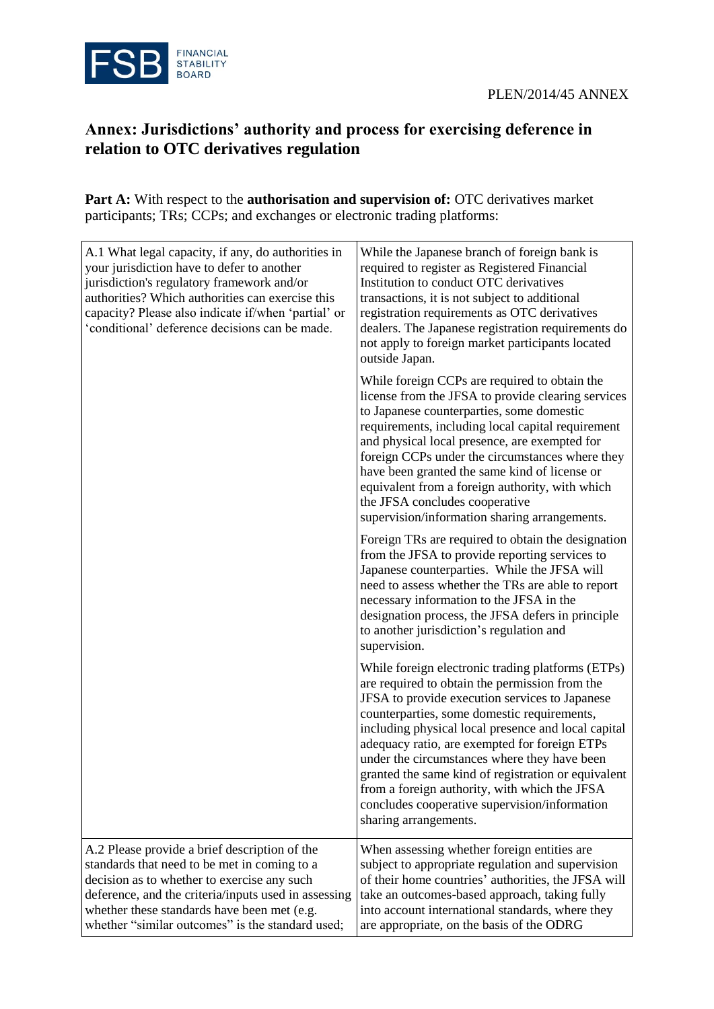



## **Annex: Jurisdictions' authority and process for exercising deference in relation to OTC derivatives regulation**

**Part A:** With respect to the **authorisation and supervision of:** OTC derivatives market participants; TRs; CCPs; and exchanges or electronic trading platforms:

| A.1 What legal capacity, if any, do authorities in<br>your jurisdiction have to defer to another<br>jurisdiction's regulatory framework and/or<br>authorities? Which authorities can exercise this<br>capacity? Please also indicate if/when 'partial' or<br>'conditional' deference decisions can be made. | While the Japanese branch of foreign bank is<br>required to register as Registered Financial<br>Institution to conduct OTC derivatives<br>transactions, it is not subject to additional<br>registration requirements as OTC derivatives<br>dealers. The Japanese registration requirements do<br>not apply to foreign market participants located<br>outside Japan.                                                                                                                                                                            |
|-------------------------------------------------------------------------------------------------------------------------------------------------------------------------------------------------------------------------------------------------------------------------------------------------------------|------------------------------------------------------------------------------------------------------------------------------------------------------------------------------------------------------------------------------------------------------------------------------------------------------------------------------------------------------------------------------------------------------------------------------------------------------------------------------------------------------------------------------------------------|
|                                                                                                                                                                                                                                                                                                             | While foreign CCPs are required to obtain the<br>license from the JFSA to provide clearing services<br>to Japanese counterparties, some domestic<br>requirements, including local capital requirement<br>and physical local presence, are exempted for<br>foreign CCPs under the circumstances where they<br>have been granted the same kind of license or<br>equivalent from a foreign authority, with which<br>the JFSA concludes cooperative<br>supervision/information sharing arrangements.                                               |
|                                                                                                                                                                                                                                                                                                             | Foreign TRs are required to obtain the designation<br>from the JFSA to provide reporting services to<br>Japanese counterparties. While the JFSA will<br>need to assess whether the TRs are able to report<br>necessary information to the JFSA in the<br>designation process, the JFSA defers in principle<br>to another jurisdiction's regulation and<br>supervision.                                                                                                                                                                         |
|                                                                                                                                                                                                                                                                                                             | While foreign electronic trading platforms (ETPs)<br>are required to obtain the permission from the<br>JFSA to provide execution services to Japanese<br>counterparties, some domestic requirements,<br>including physical local presence and local capital<br>adequacy ratio, are exempted for foreign ETPs<br>under the circumstances where they have been<br>granted the same kind of registration or equivalent<br>from a foreign authority, with which the JFSA<br>concludes cooperative supervision/information<br>sharing arrangements. |
| A.2 Please provide a brief description of the<br>standards that need to be met in coming to a<br>decision as to whether to exercise any such<br>deference, and the criteria/inputs used in assessing<br>whether these standards have been met (e.g.<br>whether "similar outcomes" is the standard used;     | When assessing whether foreign entities are<br>subject to appropriate regulation and supervision<br>of their home countries' authorities, the JFSA will<br>take an outcomes-based approach, taking fully<br>into account international standards, where they<br>are appropriate, on the basis of the ODRG                                                                                                                                                                                                                                      |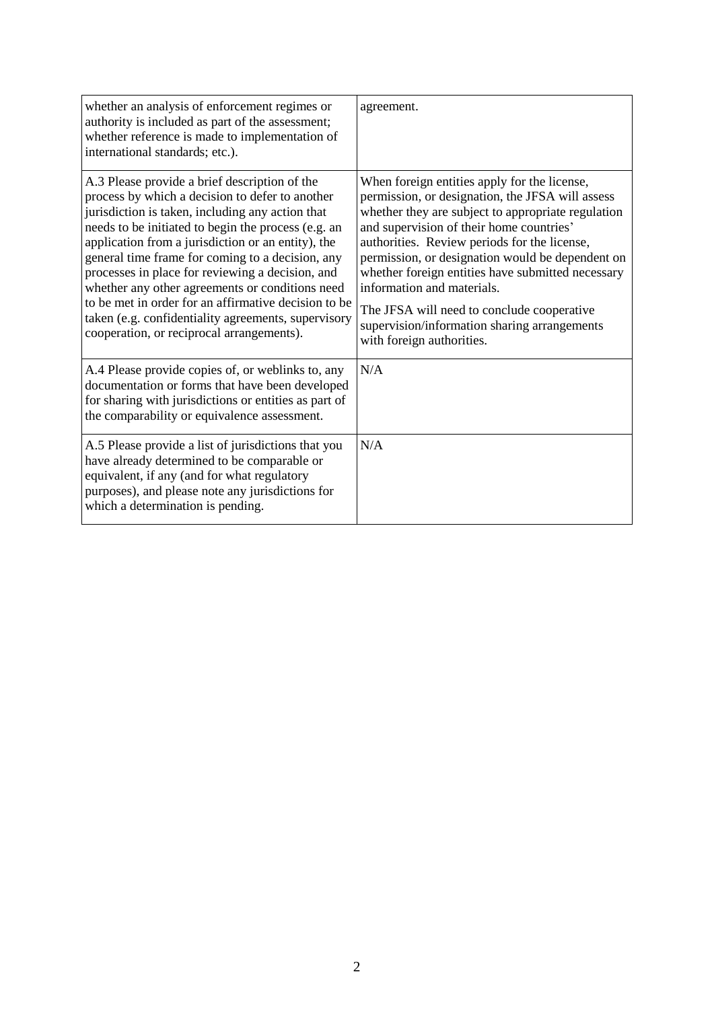| whether an analysis of enforcement regimes or<br>authority is included as part of the assessment;<br>whether reference is made to implementation of<br>international standards; etc.).                                                                                                                                                                                                                                                                                                                                                                                                   | agreement.                                                                                                                                                                                                                                                                                                                                                                                                                                                                                                           |
|------------------------------------------------------------------------------------------------------------------------------------------------------------------------------------------------------------------------------------------------------------------------------------------------------------------------------------------------------------------------------------------------------------------------------------------------------------------------------------------------------------------------------------------------------------------------------------------|----------------------------------------------------------------------------------------------------------------------------------------------------------------------------------------------------------------------------------------------------------------------------------------------------------------------------------------------------------------------------------------------------------------------------------------------------------------------------------------------------------------------|
| A.3 Please provide a brief description of the<br>process by which a decision to defer to another<br>jurisdiction is taken, including any action that<br>needs to be initiated to begin the process (e.g. an<br>application from a jurisdiction or an entity), the<br>general time frame for coming to a decision, any<br>processes in place for reviewing a decision, and<br>whether any other agreements or conditions need<br>to be met in order for an affirmative decision to be<br>taken (e.g. confidentiality agreements, supervisory<br>cooperation, or reciprocal arrangements). | When foreign entities apply for the license,<br>permission, or designation, the JFSA will assess<br>whether they are subject to appropriate regulation<br>and supervision of their home countries'<br>authorities. Review periods for the license,<br>permission, or designation would be dependent on<br>whether foreign entities have submitted necessary<br>information and materials.<br>The JFSA will need to conclude cooperative<br>supervision/information sharing arrangements<br>with foreign authorities. |
| A.4 Please provide copies of, or weblinks to, any<br>documentation or forms that have been developed<br>for sharing with jurisdictions or entities as part of<br>the comparability or equivalence assessment.                                                                                                                                                                                                                                                                                                                                                                            | N/A                                                                                                                                                                                                                                                                                                                                                                                                                                                                                                                  |
| A.5 Please provide a list of jurisdictions that you<br>have already determined to be comparable or<br>equivalent, if any (and for what regulatory<br>purposes), and please note any jurisdictions for<br>which a determination is pending.                                                                                                                                                                                                                                                                                                                                               | N/A                                                                                                                                                                                                                                                                                                                                                                                                                                                                                                                  |